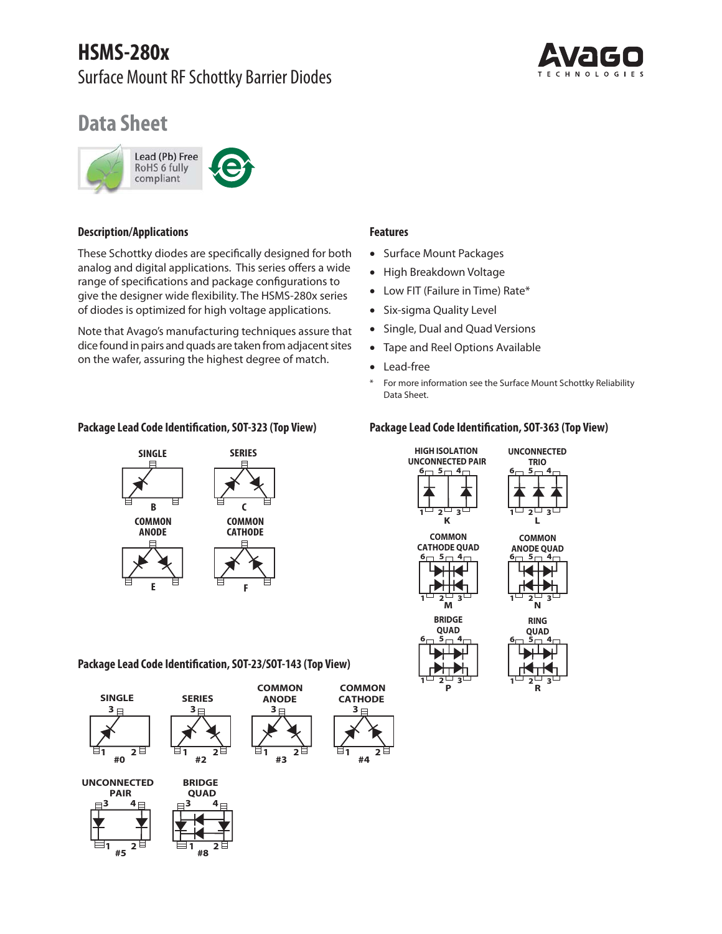# **HSMS-280x**  Surface Mount RF Schottky Barrier Diodes



# **Data Sheet**



# **Description/Applications**

These Schottky diodes are specifically designed for both analog and digital applications. This series offers a wide range of specifications and package configurations to give the designer wide flexibility. The HSMS-280x series of diodes is optimized for high voltage applications.

Note that Avago's manufacturing techniques assure that dice found in pairs and quads are taken from adjacent sites on the wafer, assuring the highest degree of match.



### **Features**

- Surface Mount Packages
- High Breakdown Voltage
- Low FIT (Failure in Time) Rate\*
- Six-sigma Quality Level
- Single, Dual and Quad Versions
- Tape and Reel Options Available
- Lead-free
- \* For more information see the Surface Mount Schottky Reliability Data Sheet.

# **Package Lead Code Identification, SOT-323 (Top View) Package Lead Code Identification, SOT-363 (Top View)**



**Package Lead Code Identification, SOT-23/SOT-143 (Top View)**







 $\frac{1}{1+8}$ <sup>2</sup>



**N RING**  $2^{\cup}$  3



**P**

<del>1233 كا</del>



**L**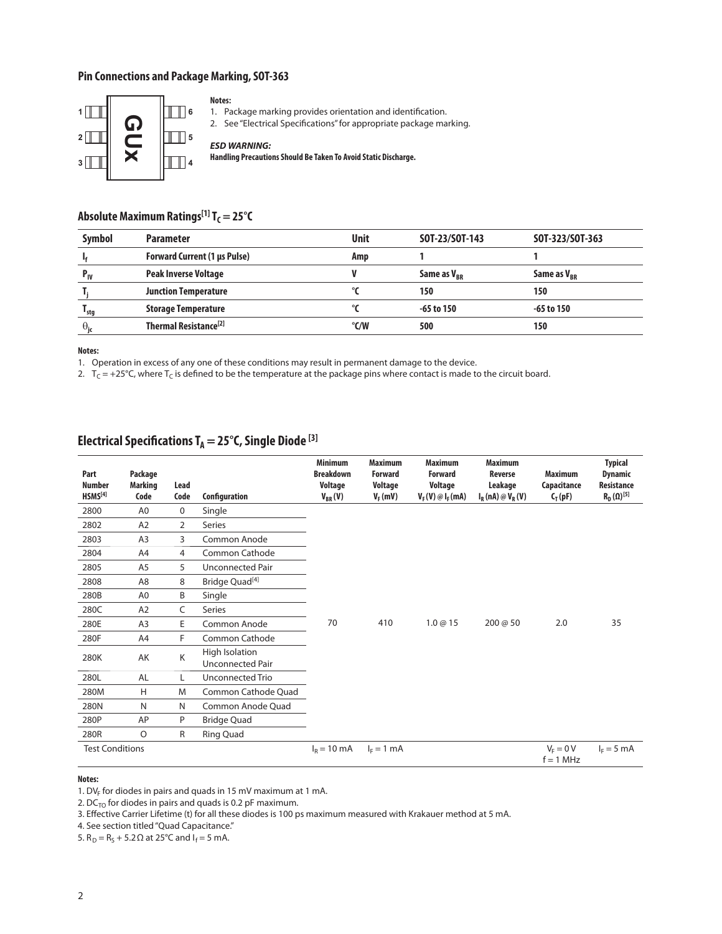# **Pin Connections and Package Marking, SOT-363**



#### **Notes:**

1. Package marking provides orientation and identification.

2. See "Electrical Specifications" for appropriate package marking.

#### *ESD WARNING:*

**Handling Precautions Should Be Taken To Avoid Static Discharge.**

# Absolute Maximum Ratings<sup>[1]</sup> T<sub>C</sub> = 25°C

| <b>Symbol</b>     | <b>Parameter</b>                    | <b>Unit</b> | SOT-23/SOT-143          | SOT-323/SOT-363         |
|-------------------|-------------------------------------|-------------|-------------------------|-------------------------|
|                   | <b>Forward Current (1 µs Pulse)</b> | Amp         |                         |                         |
| $P_{IV}$          | <b>Peak Inverse Voltage</b>         |             | Same as V <sub>RR</sub> | Same as V <sub>RR</sub> |
|                   | <b>Junction Temperature</b>         |             | 150                     | 150                     |
| <sup>1</sup> stg  | <b>Storage Temperature</b>          |             | $-65$ to 150            | -65 to 150              |
| $\theta_{\rm ic}$ | Thermal Resistance <sup>[2]</sup>   | °C/W        | 500                     | 150                     |

**Notes:**

1. Operation in excess of any one of these conditions may result in permanent damage to the device.

2.  $T_c = +25^{\circ}$ C, where T<sub>C</sub> is defined to be the temperature at the package pins where contact is made to the circuit board.

# Electrical Specifications T<sub>A</sub> = 25°C, Single Diode<sup>[3]</sup>

| Part<br><b>Number</b><br>HSMS <sup>[4]</sup> | Package<br><b>Marking</b><br>Code | Lead<br>Code   | Configuration                      | <b>Minimum</b><br><b>Breakdown</b><br>Voltage<br>$V_{BR}(V)$ | <b>Maximum</b><br><b>Forward</b><br>Voltage<br>$V_F(mV)$ | <b>Maximum</b><br><b>Forward</b><br>Voltage<br>$V_F(V) \otimes I_F(mA)$ | <b>Maximum</b><br>Reverse<br>Leakage<br>$I_R(nA) \otimes V_R(V)$ | <b>Maximum</b><br>Capacitance<br>$C_T(pF)$ | <b>Typical</b><br><b>Dynamic</b><br><b>Resistance</b><br>$R_D(\Omega)^{[5]}$ |
|----------------------------------------------|-----------------------------------|----------------|------------------------------------|--------------------------------------------------------------|----------------------------------------------------------|-------------------------------------------------------------------------|------------------------------------------------------------------|--------------------------------------------|------------------------------------------------------------------------------|
| 2800                                         | A <sub>0</sub>                    | $\mathbf 0$    | Single                             |                                                              |                                                          |                                                                         |                                                                  |                                            |                                                                              |
| 2802                                         | A <sub>2</sub>                    | $\overline{2}$ | <b>Series</b>                      |                                                              |                                                          |                                                                         |                                                                  |                                            |                                                                              |
| 2803                                         | A <sub>3</sub>                    | 3              | Common Anode                       |                                                              |                                                          |                                                                         |                                                                  |                                            |                                                                              |
| 2804                                         | A4                                | 4              | Common Cathode                     |                                                              |                                                          |                                                                         |                                                                  |                                            |                                                                              |
| 2805                                         | A <sub>5</sub>                    | 5              | <b>Unconnected Pair</b>            |                                                              |                                                          |                                                                         |                                                                  |                                            |                                                                              |
| 2808                                         | A <sub>8</sub>                    | 8              | Bridge Quad <sup>[4]</sup>         |                                                              |                                                          |                                                                         |                                                                  |                                            |                                                                              |
| 280B                                         | A <sub>0</sub>                    | B              | Single                             |                                                              |                                                          |                                                                         |                                                                  |                                            |                                                                              |
| 280C                                         | A2                                | C              | Series                             |                                                              |                                                          |                                                                         |                                                                  |                                            |                                                                              |
| 280E                                         | A <sub>3</sub>                    | E              | Common Anode                       | 70                                                           | 410                                                      | 1.0@15                                                                  | 200 @ 50                                                         | 2.0                                        | 35                                                                           |
| 280F                                         | A4                                | F              | Common Cathode                     |                                                              |                                                          |                                                                         |                                                                  |                                            |                                                                              |
| 280K                                         | AK                                | K              | High Isolation<br>Unconnected Pair |                                                              |                                                          |                                                                         |                                                                  |                                            |                                                                              |
| 280L                                         | AL                                | L.             | Unconnected Trio                   |                                                              |                                                          |                                                                         |                                                                  |                                            |                                                                              |
| 280M                                         | H                                 | M              | Common Cathode Quad                |                                                              |                                                          |                                                                         |                                                                  |                                            |                                                                              |
| 280N                                         | N                                 | N              | Common Anode Quad                  |                                                              |                                                          |                                                                         |                                                                  |                                            |                                                                              |
| 280P                                         | AP                                | P              | <b>Bridge Quad</b>                 |                                                              |                                                          |                                                                         |                                                                  |                                            |                                                                              |
| 280R                                         | O                                 | R              | Ring Quad                          |                                                              |                                                          |                                                                         |                                                                  |                                            |                                                                              |
| <b>Test Conditions</b>                       |                                   |                |                                    | $I_R = 10 \text{ mA}$                                        | $I_F = 1$ mA                                             |                                                                         |                                                                  | $V_F = 0 V$<br>$f = 1$ MHz                 | $I_F = 5$ mA                                                                 |

#### **Notes:**

1. DV<sub>F</sub> for diodes in pairs and quads in 15 mV maximum at 1 mA.

2. DC $_{\tau O}$  for diodes in pairs and quads is 0.2 pF maximum.

3. Effective Carrier Lifetime (t) for all these diodes is 100 ps maximum measured with Krakauer method at 5 mA.

4. See section titled "Quad Capacitance."

5.  $R_D = R_S + 5.2 Ω$  at 25°C and  $I_f = 5$  mA.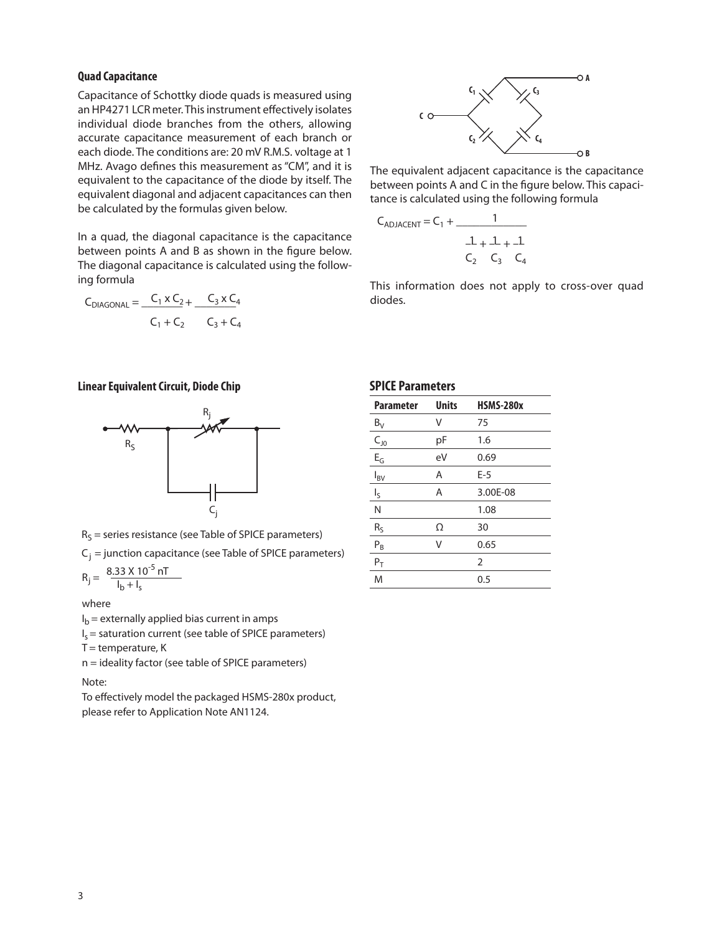#### **Quad Capacitance**

Capacitance of Schottky diode quads is measured using an HP4271 LCR meter. This instrument effectively isolates individual diode branches from the others, allowing accurate capacitance measurement of each branch or each diode. The conditions are: 20 mV R.M.S. voltage at 1 MHz. Avago defines this measurement as "CM", and it is equivalent to the capacitance of the diode by itself. The equivalent diagonal and adjacent capacitances can then be calculated by the formulas given below.

In a quad, the diagonal capacitance is the capacitance between points A and B as shown in the figure below. The diagonal capacitance is calculated using the following formula

$$
C_{DIAGONAL} = \frac{C_1 \times C_2}{C_1 + C_2} + \frac{C_3 \times C_4}{C_3 + C_4}
$$

#### **Linear Equivalent Circuit, Diode Chip**





 $C_j$  = junction capacitance (see Table of SPICE parameters)

$$
R_{j} = \frac{8.33 \times 10^{-5} \text{ nT}}{I_{b} + I_{s}}
$$

where

 $I<sub>b</sub>$  = externally applied bias current in amps

 $I_s$  = saturation current (see table of SPICE parameters)

 $T =$  temperature,  $K$ 

n = ideality factor (see table of SPICE parameters)

Note:

To effectively model the packaged HSMS-280x product, please refer to Application Note AN1124.



The equivalent adjacent capacitance is the capacitance between points A and C in the figure below. This capacitance is calculated using the following formula

$$
C_{ADJACENT} = C_1 + \frac{1}{\frac{1}{C_2} + \frac{1}{C_3} + \frac{1}{C_4}}
$$

This information does not apply to cross-over quad diodes.

#### **SPICE Parameters**

| <b>Parameter</b>         | <b>Units</b> | <b>HSMS-280x</b> |
|--------------------------|--------------|------------------|
| $B_V$                    | V            | 75               |
| $C_{10}$                 | рF           | 1.6              |
| $E_G$                    | eV           | 0.69             |
| $I_{BV}$                 | A            | $E-5$            |
| $\mathsf{I}_{\varsigma}$ | Α            | 3.00E-08         |
| N                        |              | 1.08             |
| $R_S$                    | Ω            | 30               |
| $\mathsf{P}_\mathsf{B}$  | V            | 0.65             |
| $P_T$                    |              | $\overline{2}$   |
| M                        |              | 0.5              |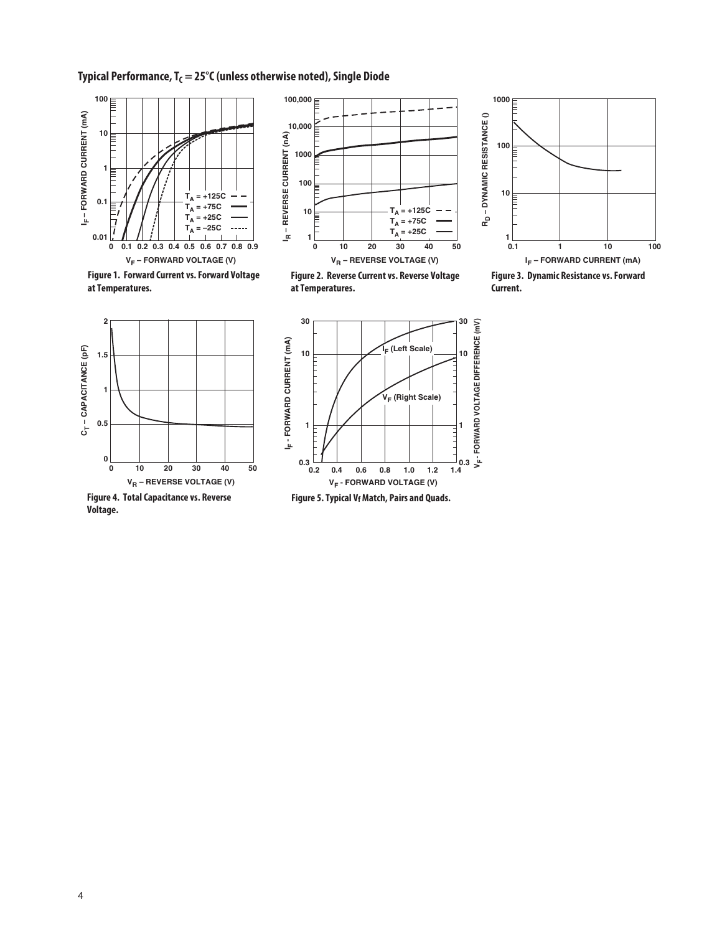# **Typical Performance, T<sub>C</sub> = 25°C (unless otherwise noted), Single Diode**





**100,000**

**Figure 1. Forward Current vs. Forward Voltage at Temperatures.**



**Figure 2. Reverse Current vs. Reverse Voltage at Temperatures.**



**Figure 3. Dynamic Resistance vs. Forward Current.**



**Figure 4. Total Capacitance vs. Reverse Voltage.**



**Figure 5. Typical Vf Match, Pairs and Quads.**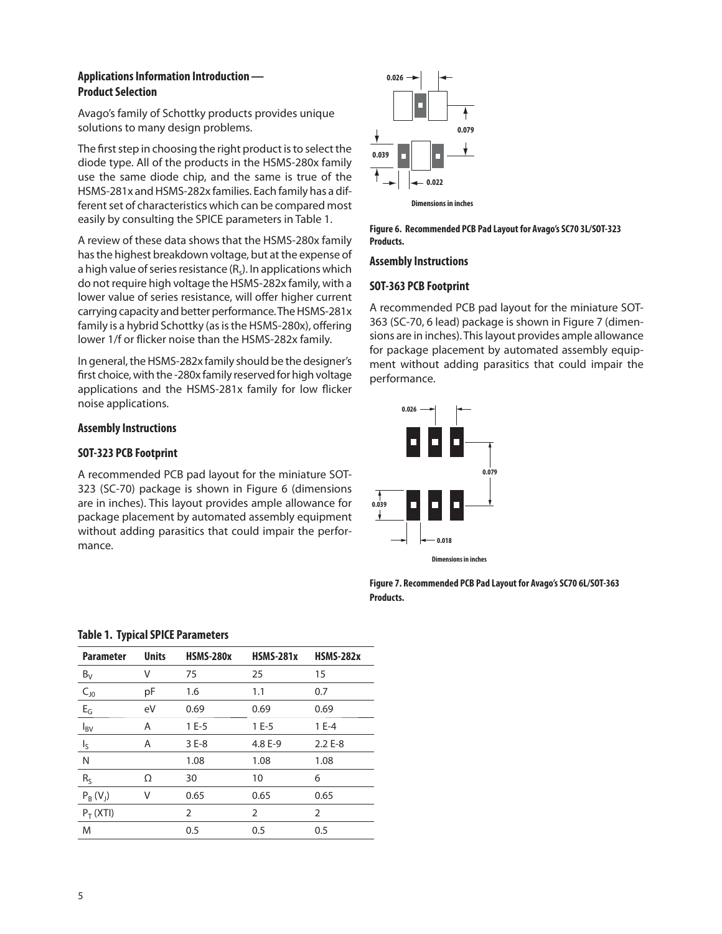# **Applications Information Introduction — Product Selection**

Avago's family of Schottky products provides unique solutions to many design problems.

The first step in choosing the right product is to select the diode type. All of the products in the HSMS-280x family use the same diode chip, and the same is true of the HSMS-281x and HSMS-282x families. Each family has a different set of characteristics which can be compared most easily by consulting the SPICE parameters in Table 1.

A review of these data shows that the HSMS-280x family has the highest breakdown voltage, but at the expense of a high value of series resistance  $(R_s)$ . In applications which do not require high voltage the HSMS-282x family, with a lower value of series resistance, will offer higher current carrying capacity and better performance. The HSMS-281x family is a hybrid Schottky (as is the HSMS-280x), offering lower 1/f or flicker noise than the HSMS-282x family.

In general, the HSMS-282x family should be the designer's first choice, with the -280x family reserved for high voltage applications and the HSMS-281x family for low flicker noise applications.

# **Assembly Instructions**

# **SOT-323 PCB Footprint**

A recommended PCB pad layout for the miniature SOT-323 (SC-70) package is shown in Figure 6 (dimensions are in inches). This layout provides ample allowance for package placement by automated assembly equipment without adding parasitics that could impair the performance.



**Figure 6. Recommended PCB Pad Layout for Avago's SC70 3L/SOT-323 Products.**

#### **Assembly Instructions**

### **SOT-363 PCB Footprint**

A recommended PCB pad layout for the miniature SOT-363 (SC-70, 6 lead) package is shown in Figure 7 (dimensions are in inches). This layout provides ample allowance for package placement by automated assembly equipment without adding parasitics that could impair the performance.



**Dimensionsin inches**

**Figure 7. Recommended PCB Pad Layout for Avago's SC70 6L/SOT-363 Products.**

| <b>Parameter</b> | <b>Units</b> | <b>HSMS-280x</b> | <b>HSMS-281x</b> | <b>HSMS-282x</b> |
|------------------|--------------|------------------|------------------|------------------|
| $B_V$            | V            | 75               | 25               | 15               |
| $C_{J0}$         | рF           | 1.6              | 1.1              | 0.7              |
| $E_G$            | eV           | 0.69             | 0.69             | 0.69             |
| $I_{BV}$         | A            | $1E-5$           | $1E-5$           | $1E-4$           |
| Ις               | Α            | $3E-8$           | 4.8 E-9          | $2.2E - 8$       |
| Ν                |              | 1.08             | 1.08             | 1.08             |
| $R_S$            | Ω            | 30               | 10               | 6                |
| $P_R(V_1)$       | ٧            | 0.65             | 0.65             | 0.65             |
| $P_T(XTI)$       |              | 2                | $\overline{2}$   | 2                |
| M                |              | 0.5              | 0.5              | 0.5              |

#### **Table 1. Typical SPICE Parameters**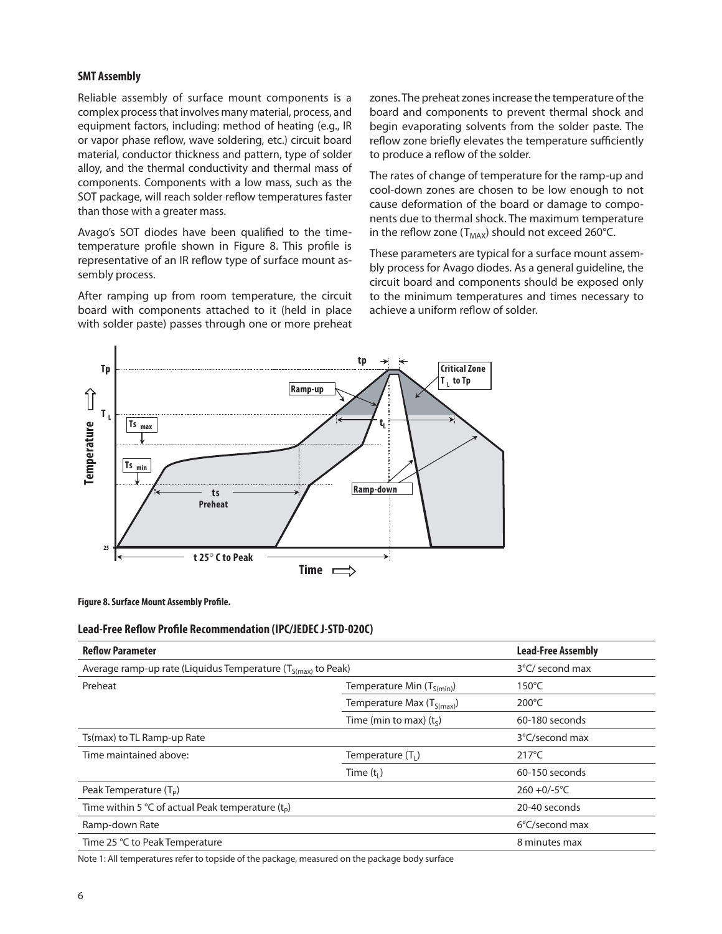#### **SMT Assembly**

Reliable assembly of surface mount components is a complex process that involves many material, process, and equipment factors, including: method of heating (e.g., IR or vapor phase reflow, wave soldering, etc.) circuit board material, conductor thickness and pattern, type of solder alloy, and the thermal conductivity and thermal mass of components. Components with a low mass, such as the SOT package, will reach solder reflow temperatures faster than those with a greater mass.

Avago's SOT diodes have been qualified to the timetemperature profile shown in Figure 8. This profile is representative of an IR reflow type of surface mount assembly process.

After ramping up from room temperature, the circuit board with components attached to it (held in place with solder paste) passes through one or more preheat zones. The preheat zones increase the temperature of the board and components to prevent thermal shock and begin evaporating solvents from the solder paste. The reflow zone briefly elevates the temperature sufficiently to produce a reflow of the solder.

The rates of change of temperature for the ramp-up and cool-down zones are chosen to be low enough to not cause deformation of the board or damage to components due to thermal shock. The maximum temperature in the reflow zone ( $T_{MAX}$ ) should not exceed 260°C.

These parameters are typical for a surface mount assembly process for Avago diodes. As a general guideline, the circuit board and components should be exposed only to the minimum temperatures and times necessary to achieve a uniform reflow of solder.



**Figure 8. Surface Mount Assembly Profile.**

#### **Lead-Free Reflow Profile Recommendation (IPC/JEDEC J-STD-020C)**

| <b>Reflow Parameter</b>                                           | <b>Lead-Free Assembly</b>      |                 |
|-------------------------------------------------------------------|--------------------------------|-----------------|
| Average ramp-up rate (Liquidus Temperature $(T_{S(max)}$ to Peak) | 3°C/ second max                |                 |
| Preheat                                                           | Temperature Min $(T_{S(min)})$ |                 |
|                                                                   | Temperature Max $(T_{S(max)})$ | $200^{\circ}$ C |
|                                                                   | Time (min to max) $(ts)$       | 60-180 seconds  |
| Ts(max) to TL Ramp-up Rate                                        |                                | 3°C/second max  |
| Time maintained above:                                            | Temperature $(T_1)$            | $217^{\circ}$ C |
|                                                                   | Time $(t1)$                    | 60-150 seconds  |
| Peak Temperature $(T_P)$                                          |                                | $260 + 0/-5$ °C |
| Time within 5 °C of actual Peak temperature $(tp)$                | 20-40 seconds                  |                 |
| Ramp-down Rate                                                    | 6°C/second max                 |                 |
| Time 25 °C to Peak Temperature                                    |                                | 8 minutes max   |

Note 1: All temperatures refer to topside of the package, measured on the package body surface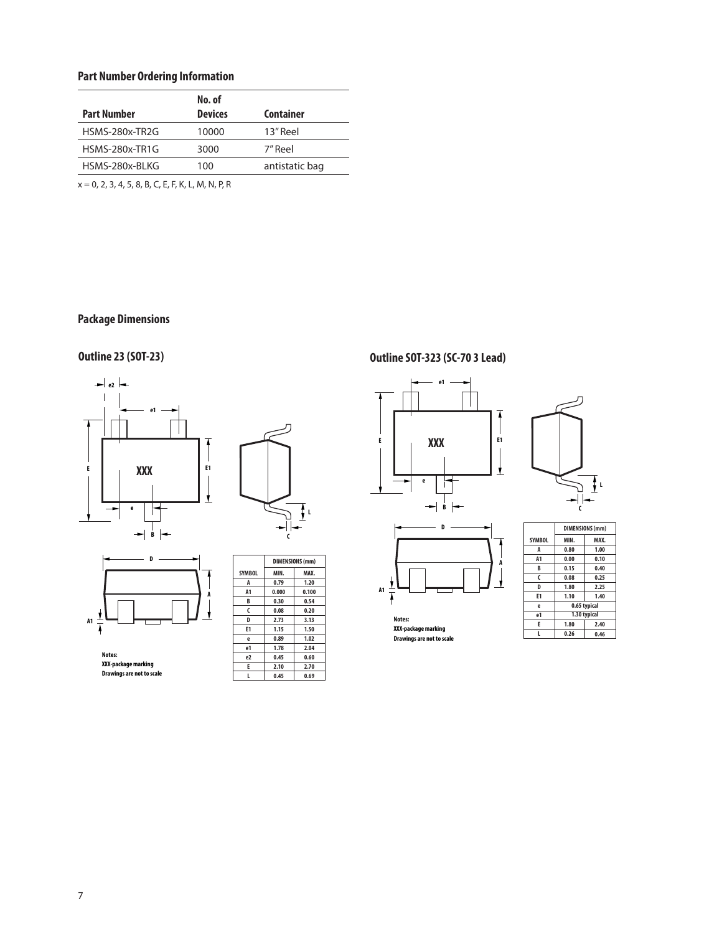# **Part Number Ordering Information**

| No. of         |                  |
|----------------|------------------|
| <b>Devices</b> | <b>Container</b> |
| 10000          | 13" Reel         |
| 3000           | 7" Reel          |
| 100            | antistatic bag   |
|                |                  |

x = 0, 2, 3, 4, 5, 8, B, C, E, F, K, L, M, N, P, R

# **Package Dimensions**







**Notes: XXX-packagemarking Drawings are not to scale**

|                | <b>DIMENSIONS (mm)</b> |       |  |
|----------------|------------------------|-------|--|
| <b>SYMBOL</b>  | MIN.                   | MAX.  |  |
| A              | 0.79                   | 1.20  |  |
| A <sub>1</sub> | 0.000                  | 0.100 |  |
| B              | 0.30                   | 0.54  |  |
| C              | 0.08                   | 0.20  |  |
| D              | 2.73                   | 3.13  |  |
| E1             | 1.15                   | 1.50  |  |
| e              | 0.89                   | 1.02  |  |
| e1             | 1.78                   | 2.04  |  |
| e2             | 0.45                   | 0.60  |  |
| E              | 2.10                   | 2.70  |  |
|                | 0.45                   | 0.69  |  |

# **Outline 23 (SOT-23) Outline SOT-323 (SC-70 3 Lead)**







**Notes: XXX-packagemarking**

|                | <u>UIMLIVJIVIVJ (IIIIII)</u> |              |  |  |
|----------------|------------------------------|--------------|--|--|
| <b>SYMBOL</b>  | MIN.                         | MAX.         |  |  |
| A              | 0.80                         | 1.00         |  |  |
| A1             | 0.00                         | 0.10         |  |  |
| B              | 0.15                         | 0.40         |  |  |
| C              | 0.08                         | 0.25         |  |  |
| D              | 1.80                         | 2.25         |  |  |
| E <sub>1</sub> | 1.10                         | 1.40         |  |  |
| e              |                              | 0.65 typical |  |  |
| e1             | 1.30 typical                 |              |  |  |
| E              | 1.80                         | 2.40         |  |  |
| L              | 0.26<br>0.46                 |              |  |  |
|                |                              |              |  |  |

**C**

**L**

**Drawings are not to scale**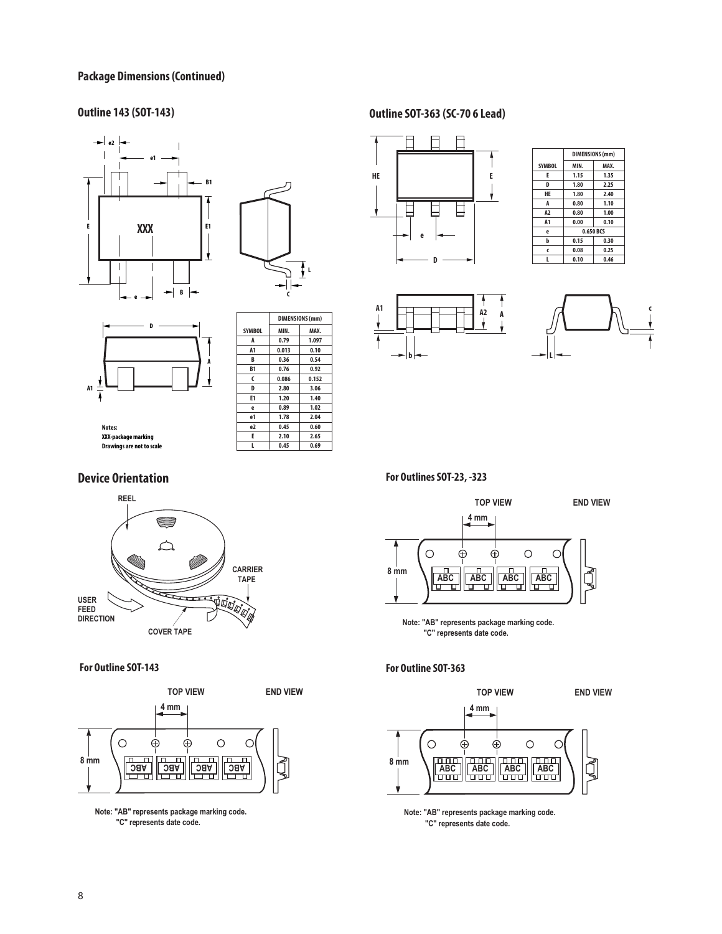#### **Package Dimensions (Continued)**





 $\overline{1}$ 



|               | UIMENJIUNJ (IIIIIII) |       |  |
|---------------|----------------------|-------|--|
| <b>SYMBOL</b> | MIN.                 | MAX.  |  |
| A             | 0.79                 | 1.097 |  |
| A1            | 0.013                | 0.10  |  |
| B             | 0.36                 | 0.54  |  |
| <b>B1</b>     | 0.76                 | 0.92  |  |
| C             | 0.086                | 0.152 |  |
| D             | 2.80                 | 3.06  |  |
| E1            | 1.20                 | 1.40  |  |
| e             | 0.89                 | 1.02  |  |
| e1            | 1.78                 | 2.04  |  |
| e2            | 0.45                 | 0.60  |  |
| E             | 2.10                 | 2.65  |  |
| L             | 0.45                 | 0.69  |  |

**DIMENSIONS (mm)**

٦

**Notes: XXX-packagemarking Drawings are not to scale**

### **Device Orientation**



**For Outline SOT-143**



**Note: "AB" represents package marking code. "C" represents date code.**

# **Outline 143 (SOT-143) Outline SOT-363 (SC-70 6 Lead)**



|                | <b>DIMENSIONS (mm)</b> |           |  |
|----------------|------------------------|-----------|--|
| <b>SYMBOL</b>  | MIN.                   | MAX.      |  |
| E              | 1.15                   | 1.35      |  |
| D              | 1.80                   | 2.25      |  |
| HE             | 1.80                   | 2.40      |  |
| A              | 0.80                   | 1.10      |  |
| A <sub>2</sub> | 0.80                   | 1.00      |  |
| A <sub>1</sub> | 0.00                   | 0.10      |  |
| ė              |                        | 0.650 BCS |  |
| b              | 0.15                   | 0.30      |  |
| Ć              | 0.08                   | 0.25      |  |
|                | 0.10                   | 0.46      |  |





**For Outlines SOT-23, -323**



**Note: "AB" represents package marking code. "C" represents date code.**

### **For Outline SOT-363**



**Note: "AB" represents package marking code. "C" represents date code.**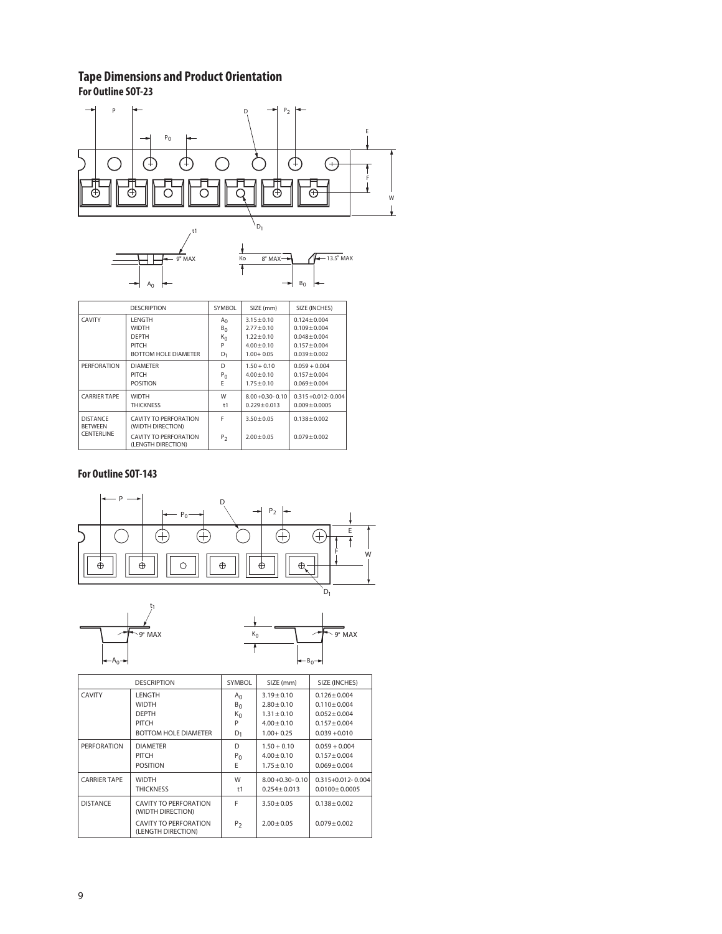# **Tape Dimensions and Product Orientation**

 $A_0$ 

**For Outline SOT-23**



 $B_0$ 

|                                   | <b>DESCRIPTION</b>                          | SYMBOL         | SIZE (mm)            | SIZE (INCHES)           |
|-----------------------------------|---------------------------------------------|----------------|----------------------|-------------------------|
| <b>CAVITY</b>                     | <b>LENGTH</b>                               | $A_{\Omega}$   | $3.15 + 0.10$        | $0.124 + 0.004$         |
|                                   | <b>WIDTH</b>                                | B <sub>0</sub> | $2.77 + 0.10$        | $0.109 + 0.004$         |
|                                   | <b>DEPTH</b>                                | $K_0$          | $1.22 + 0.10$        | $0.048 + 0.004$         |
|                                   | PITCH                                       | P              | $4.00 + 0.10$        | $0.157 + 0.004$         |
|                                   | <b>BOTTOM HOLF DIAMETER</b>                 | D <sub>1</sub> | $1.00 + 0.05$        | $0.039 + 0.002$         |
| PERFORATION                       | <b>DIAMETER</b>                             | D              | $1.50 + 0.10$        | $0.059 + 0.004$         |
|                                   | PITCH                                       | P <sub>0</sub> | $4.00 + 0.10$        | $0.157 + 0.004$         |
|                                   | <b>POSITION</b>                             | E              | $1.75 + 0.10$        | $0.069 + 0.004$         |
| <b>CARRIER TAPE</b>               | <b>WIDTH</b>                                | W              | $8.00 + 0.30 - 0.10$ | $0.315 + 0.012 - 0.004$ |
|                                   | <b>THICKNESS</b>                            | t1             | $0.229 \pm 0.013$    | $0.009 + 0.0005$        |
| <b>DISTANCE</b><br><b>BETWEEN</b> | CAVITY TO PERFORATION<br>(WIDTH DIRECTION)  | F              | $3.50 + 0.05$        | $0.138 + 0.002$         |
| <b>CENTERLINE</b>                 | CAVITY TO PERFORATION<br>(LENGTH DIRECTION) | $P_{2}$        | $2.00 + 0.05$        | $0.079 + 0.002$         |

# **For Outline SOT-143**





|                     | <b>DESCRIPTION</b>                          | <b>SYMBOL</b>  | SIZE (mm)            | SIZE (INCHES)           |
|---------------------|---------------------------------------------|----------------|----------------------|-------------------------|
| <b>CAVITY</b>       | LENGTH                                      | A <sub>0</sub> | $3.19 + 0.10$        | $0.126 + 0.004$         |
|                     | <b>WIDTH</b>                                | $B_0$          | $2.80 + 0.10$        | $0.110 + 0.004$         |
|                     | <b>DEPTH</b>                                | $K_0$          | $1.31 + 0.10$        | $0.052 + 0.004$         |
|                     | PITCH                                       | P              | $4.00 + 0.10$        | $0.157 + 0.004$         |
|                     | <b>BOTTOM HOLE DIAMETER</b>                 | $D_1$          | $1.00 + 0.25$        | $0.039 + 0.010$         |
| <b>PERFORATION</b>  | <b>DIAMETER</b>                             | D              | $1.50 + 0.10$        | $0.059 + 0.004$         |
|                     | PITCH                                       | $P_0$          | $4.00 + 0.10$        | $0.157 + 0.004$         |
|                     | <b>POSITION</b>                             | E              | $1.75 + 0.10$        | $0.069 + 0.004$         |
| <b>CARRIER TAPE</b> | <b>WIDTH</b>                                | W              | $8.00 + 0.30 - 0.10$ | $0.315 + 0.012 - 0.004$ |
|                     | <b>THICKNESS</b>                            | t1             | $0.254 + 0.013$      | $0.0100 \pm 0.0005$     |
| <b>DISTANCE</b>     | CAVITY TO PERFORATION<br>(WIDTH DIRECTION)  | F              | $3.50 + 0.05$        | $0.138 + 0.002$         |
|                     | CAVITY TO PERFORATION<br>(LENGTH DIRECTION) | P <sub>2</sub> | $2.00 + 0.05$        | $0.079 + 0.002$         |